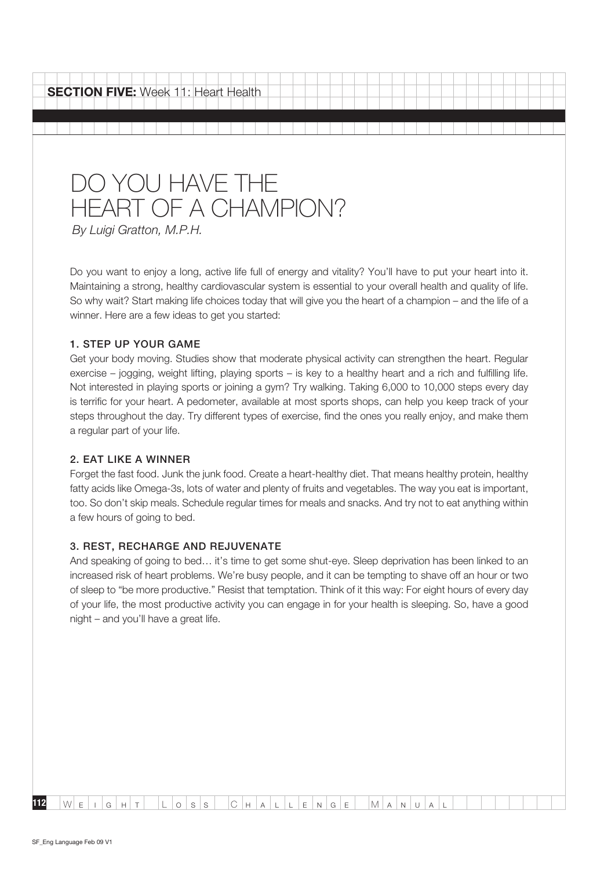**SECTION FIVE:** Week 11: Heart Health

# Do You Have the HEART OF A CHAMPION?

By Luigi Gratton, M.P.H.

Do you want to enjoy a long, active life full of energy and vitality? You'll have to put your heart into it. Maintaining a strong, healthy cardiovascular system is essential to your overall health and quality of life. So why wait? Start making life choices today that will give you the heart of a champion – and the life of a winner. Here are a few ideas to get you started:

# 1. Step up your game

Get your body moving. Studies show that moderate physical activity can strengthen the heart. Regular exercise – jogging, weight lifting, playing sports – is key to a healthy heart and a rich and fulfilling life. Not interested in playing sports or joining a gym? Try walking. Taking 6,000 to 10,000 steps every day is terrific for your heart. A pedometer, available at most sports shops, can help you keep track of your steps throughout the day. Try different types of exercise, find the ones you really enjoy, and make them a regular part of your life.

#### 2. Eat like a winner

Forget the fast food. Junk the junk food. Create a heart-healthy diet. That means healthy protein, healthy fatty acids like Omega-3s, lots of water and plenty of fruits and vegetables. The way you eat is important, too. So don't skip meals. Schedule regular times for meals and snacks. And try not to eat anything within a few hours of going to bed.

# 3. Rest, recharge and rejuvenate

And speaking of going to bed… it's time to get some shut-eye. Sleep deprivation has been linked to an increased risk of heart problems. We're busy people, and it can be tempting to shave off an hour or two of sleep to "be more productive." Resist that temptation. Think of it this way: For eight hours of every day of your life, the most productive activity you can engage in for your health is sleeping. So, have a good night – and you'll have a great life.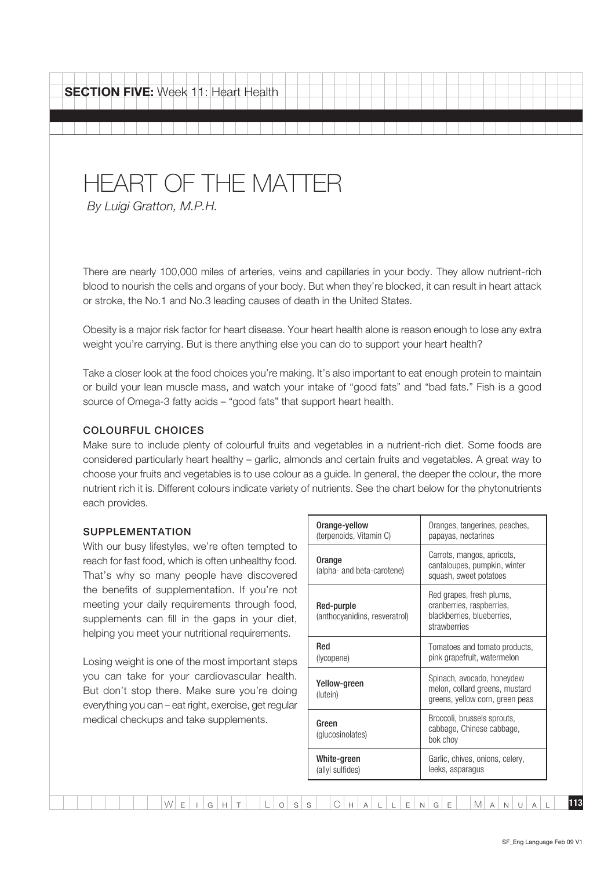# HEART OF THE MATTER

By Luigi Gratton, M.P.H.

There are nearly 100,000 miles of arteries, veins and capillaries in your body. They allow nutrient-rich blood to nourish the cells and organs of your body. But when they're blocked, it can result in heart attack or stroke, the No.1 and No.3 leading causes of death in the United States.

Obesity is a major risk factor for heart disease. Your heart health alone is reason enough to lose any extra weight you're carrying. But is there anything else you can do to support your heart health?

Take a closer look at the food choices you're making. It's also important to eat enough protein to maintain or build your lean muscle mass, and watch your intake of "good fats" and "bad fats." Fish is a good source of Omega-3 fatty acids – "good fats" that support heart health.

# Colourful choices

Make sure to include plenty of colourful fruits and vegetables in a nutrient-rich diet. Some foods are considered particularly heart healthy – garlic, almonds and certain fruits and vegetables. A great way to choose your fruits and vegetables is to use colour as a guide. In general, the deeper the colour, the more nutrient rich it is. Different colours indicate variety of nutrients. See the chart below for the phytonutrients each provides.

#### **SUPPLEMENTATION**

With our busy lifestyles, we're often tempted to reach for fast food, which is often unhealthy food. That's why so many people have discovered the benefits of supplementation. If you're not meeting your daily requirements through food, supplements can fill in the gaps in your diet, helping you meet your nutritional requirements.

Losing weight is one of the most important steps you can take for your cardiovascular health. But don't stop there. Make sure you're doing everything you can – eat right, exercise, get regular medical checkups and take supplements.

| Orange-yellow<br>(terpenoids, Vitamin C)    | Oranges, tangerines, peaches,<br>papayas, nectarines                                                |
|---------------------------------------------|-----------------------------------------------------------------------------------------------------|
| Orange<br>(alpha- and beta-carotene)        | Carrots, mangos, apricots,<br>cantaloupes, pumpkin, winter<br>squash, sweet potatoes                |
| Red-purple<br>(anthocyanidins, resveratrol) | Red grapes, fresh plums,<br>cranberries, raspberries,<br>blackberries, blueberries,<br>strawherries |
| Red<br>(lycopene)                           | Tomatoes and tomato products,<br>pink grapefruit, watermelon                                        |
| Yellow-green<br>(lutein)                    | Spinach, avocado, honeydew<br>melon, collard greens, mustard<br>greens, yellow corn, green peas     |
| Green<br>(glucosinolates)                   | Broccoli, brussels sprouts,<br>cabbage, Chinese cabbage,<br>bok choy                                |
| White-green<br>(allyl sulfides)             | Garlic, chives, onions, celery,<br>leeks, asparagus                                                 |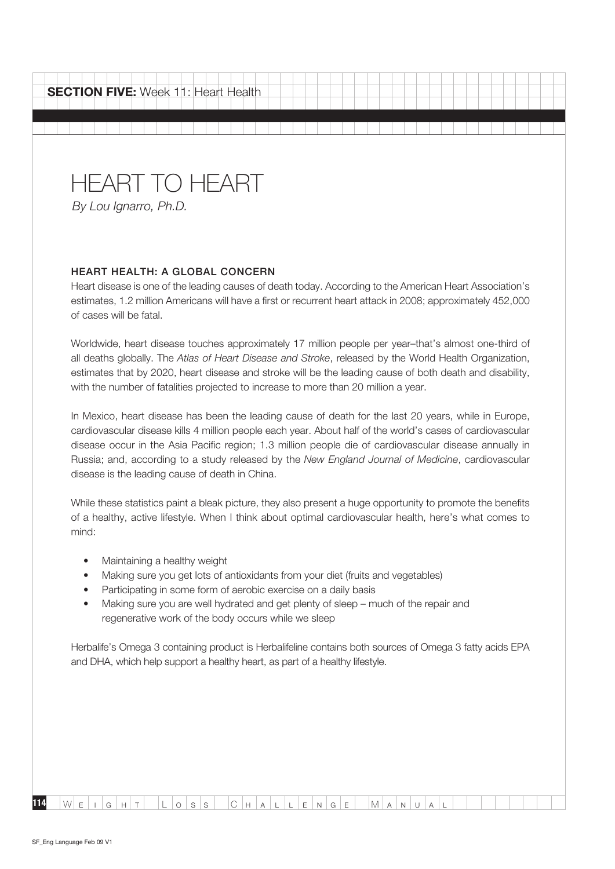| <b>SECTION FIVE:</b> Week 11: Heart Health |  |  |  |  |  |  |  |  |  |
|--------------------------------------------|--|--|--|--|--|--|--|--|--|
| <b>HEART TO HEART</b>                      |  |  |  |  |  |  |  |  |  |

#### Heart health: A global concern

Heart disease is one of the leading causes of death today. According to the American Heart Association's estimates, 1.2 million Americans will have a first or recurrent heart attack in 2008; approximately 452,000 of cases will be fatal.

Worldwide, heart disease touches approximately 17 million people per year–that's almost one-third of all deaths globally. The Atlas of Heart Disease and Stroke, released by the World Health Organization, estimates that by 2020, heart disease and stroke will be the leading cause of both death and disability, with the number of fatalities projected to increase to more than 20 million a year.

In Mexico, heart disease has been the leading cause of death for the last 20 years, while in Europe, cardiovascular disease kills 4 million people each year. About half of the world's cases of cardiovascular disease occur in the Asia Pacific region; 1.3 million people die of cardiovascular disease annually in Russia; and, according to a study released by the New England Journal of Medicine, cardiovascular disease is the leading cause of death in China.

While these statistics paint a bleak picture, they also present a huge opportunity to promote the benefits of a healthy, active lifestyle. When I think about optimal cardiovascular health, here's what comes to mind:

- Maintaining a healthy weight
- Making sure you get lots of antioxidants from your diet (fruits and vegetables)
- Participating in some form of aerobic exercise on a daily basis
- Making sure you are well hydrated and get plenty of sleep much of the repair and regenerative work of the body occurs while we sleep

Herbalife's Omega 3 containing product is Herbalifeline contains both sources of Omega 3 fatty acids EPA and DHA, which help support a healthy heart, as part of a healthy lifestyle.